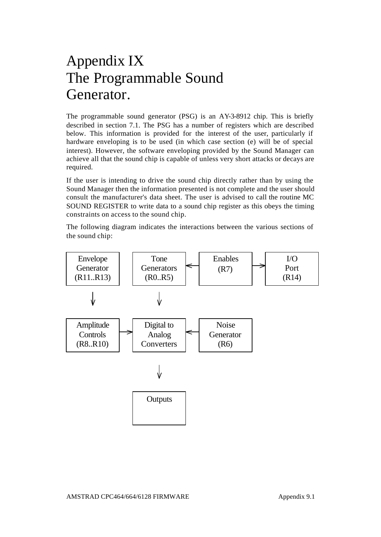# Appendix IX The Programmable Sound Generator.

The programmable sound generator (PSG) is an AY-3-8912 chip. This is briefly described in section 7.1. The PSG has a number of registers which are described below. This information is provided for the interest of the user, particularly if hardware enveloping is to be used (in which case section (e) will be of special interest). However, the software enveloping provided by the Sound Manager can achieve all that the sound chip is capable of unless very short attacks or decays are required.

If the user is intending to drive the sound chip directly rather than by using the Sound Manager then the information presented is not complete and the user should consult the manufacturer's data sheet. The user is advised to call the routine MC SOUND REGISTER to write data to a sound chip register as this obeys the timing constraints on access to the sound chip.

The following diagram indicates the interactions between the various sections of the sound chip:

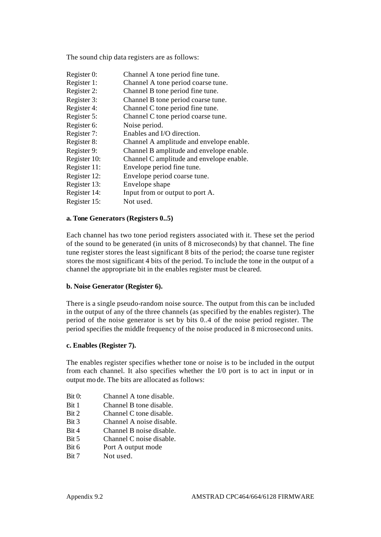The sound chip data registers are as follows:

Register 0: Channel A tone period fine tune. Register 1: Channel A tone period coarse tune. Register 2: Channel B tone period fine tune. Register 3: Channel B tone period coarse tune. Register 4: Channel C tone period fine tune. Register 5: Channel C tone period coarse tune. Register 6: Noise period. Register 7: Enables and I/O direction. Register 8: Channel A amplitude and envelope enable. Register 9: Channel B amplitude and envelope enable. Register 10: Channel C amplitude and envelope enable. Register 11: Envelope period fine tune. Register 12: Envelope period coarse tune. Register 13: Envelope shape Register 14: Input from or output to port A. Register 15: Not used.

## **a. Tone Generators (Registers 0..5)**

Each channel has two tone period registers associated with it. These set the period of the sound to be generated (in units of 8 microseconds) by that channel. The fine tune register stores the least significant 8 bits of the period; the coarse tune register stores the most significant 4 bits of the period. To include the tone in the output of a channel the appropriate bit in the enables register must be cleared.

#### **b. Noise Generator (Register 6).**

There is a single pseudo-random noise source. The output from this can be included in the output of any of the three channels (as specified by the enables register). The period of the noise generator is set by bits 0..4 of the noise period register. The period specifies the middle frequency of the noise produced in 8 microsecond units.

#### **c. Enables (Register 7).**

The enables register specifies whether tone or noise is to be included in the output from each channel. It also specifies whether the I/0 port is to act in input or in output mo de. The bits are allocated as follows:

- Bit 0: Channel A tone disable.
- Bit 1 Channel B tone disable.
- Bit 2 Channel C tone disable.
- Bit 3 Channel A noise disable.
- Bit 4 Channel B noise disable.
- Bit 5 Channel C noise disable.
- Bit 6 Port A output mode
- Bit 7 Not used.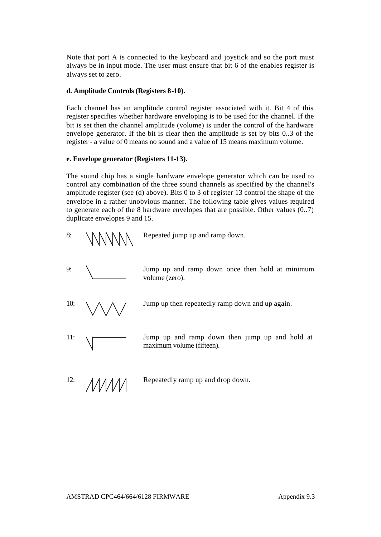Note that port A is connected to the keyboard and joystick and so the port must always be in input mode. The user must ensure that bit 6 of the enables register is always set to zero.

## **d. Amplitude Controls (Registers 8-10).**

Each channel has an amplitude control register associated with it. Bit 4 of this register specifies whether hardware enveloping is to be used for the channel. If the bit is set then the channel amplitude (volume) is under the control of the hardware envelope generator. If the bit is clear then the amplitude is set by bits 0..3 of the register - a value of 0 means no sound and a value of 15 means maximum volume.

## **e. Envelope generator (Registers 11-13).**

The sound chip has a single hardware envelope generator which can be used to control any combination of the three sound channels as specified by the channel's amplitude register (see (d) above). Bits 0 to 3 of register 13 control the shape of the envelope in a rather unobvious manner. The following table gives values required to generate each of the 8 hardware envelopes that are possible. Other values (0..7) duplicate envelopes 9 and 15.



10:  $\wedge \wedge \wedge$  / Jump up then repeatedly ramp down and up again.

11:  $\sqrt{ }$  Jump up and ramp down then jump up and hold at maximum volume (fifteen).

12:  $\triangle M$  Repeatedly ramp up and drop down.